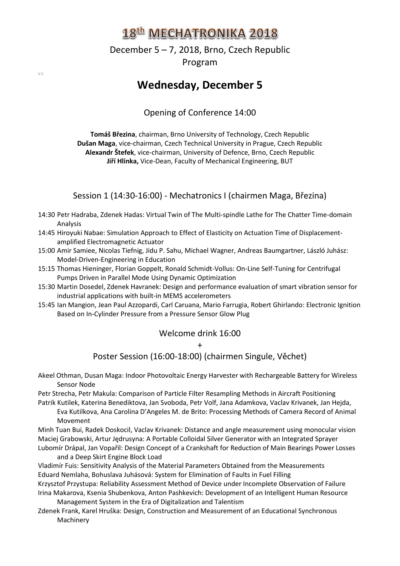December 5 – 7, 2018, Brno, Czech Republic Program

## **Wednesday, December 5**

Opening of Conference 14:00

**Tomáš Březina**, chairman, Brno University of Technology, Czech Republic **Dušan Maga**, vice-chairman, Czech Technical University in Prague, Czech Republic **Alexandr Štefek**, vice-chairman, University of Defence, Brno, Czech Republic **Jiří Hlinka,** Vice-Dean, Faculty of Mechanical Engineering, BUT

Session 1 (14:30-16:00) - Mechatronics I (chairmen Maga, Březina)

- 14:30 Petr Hadraba, Zdenek Hadas: Virtual Twin of The Multi-spindle Lathe for The Chatter Time-domain Analysis
- 14:45 Hiroyuki Nabae: Simulation Approach to Effect of Elasticity on Actuation Time of Displacementamplified Electromagnetic Actuator
- 15:00 Amir Samiee, Nicolas Tiefnig, Jidu P. Sahu, Michael Wagner, Andreas Baumgartner, László Juhász: Model-Driven-Engineering in Education
- 15:15 Thomas Hieninger, Florian Goppelt, Ronald Schmidt-Vollus: On-Line Self-Tuning for Centrifugal Pumps Driven in Parallel Mode Using Dynamic Optimization
- 15:30 Martin Dosedel, Zdenek Havranek: Design and performance evaluation of smart vibration sensor for industrial applications with built-in MEMS accelerometers
- 15:45 Ian Mangion, Jean Paul Azzopardi, Carl Caruana, Mario Farrugia, Robert Ghirlando: Electronic Ignition Based on In-Cylinder Pressure from a Pressure Sensor Glow Plug

#### Welcome drink 16:00

+

Poster Session (16:00-18:00) (chairmen Singule, Věchet)

Akeel Othman, Dusan Maga: Indoor Photovoltaic Energy Harvester with Rechargeable Battery for Wireless Sensor Node

Petr Strecha, Petr Makula: Comparison of Particle Filter Resampling Methods in Aircraft Positioning Patrik Kutilek, Katerina Benediktova, Jan Svoboda, Petr Volf, Jana Adamkova, Vaclav Krivanek, Jan Hejda,

Eva Kutilkova, Ana Carolina D'Angeles M. de Brito: Processing Methods of Camera Record of Animal Movement

Minh Tuan Bui, Radek Doskocil, Vaclav Krivanek: Distance and angle measurement using monocular vision Maciej Grabowski, Artur Jędrusyna: A Portable Colloidal Silver Generator with an Integrated Sprayer

Lubomír Drápal, Jan Vopařil: Design Concept of a Crankshaft for Reduction of Main Bearings Power Losses and a Deep Skirt Engine Block Load

Vladimír Fuis: Sensitivity Analysis of the Material Parameters Obtained from the Measurements Eduard Nemlaha, Bohuslava Juhásová: System for Elimination of Faults in Fuel Filling

Krzysztof Przystupa: Reliability Assessment Method of Device under Incomplete Observation of Failure Irina Makarova, Ksenia Shubenkova, Anton Pashkevich: Development of an Intelligent Human Resource Management System in the Era of Digitalization and Talentism

Zdenek Frank, Karel Hruška: Design, Construction and Measurement of an Educational Synchronous Machinery

 $V.5$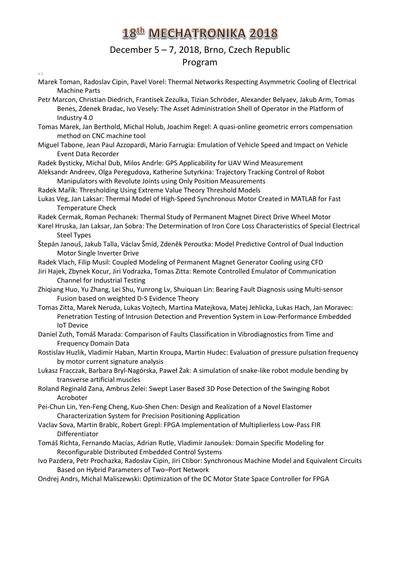## December 5 – 7, 2018, Brno, Czech Republic Program

#### $V.5$

- Marek Toman, Radoslav Cipin, Pavel Vorel: Thermal Networks Respecting Asymmetric Cooling of Electrical Machine Parts
- Petr Marcon, Christian Diedrich, Frantisek Zezulka, Tizian Schröder, Alexander Belyaev, Jakub Arm, Tomas Benes, Zdenek Bradac, Ivo Vesely: The Asset Administration Shell of Operator in the Platform of Industry 4.0
- Tomas Marek, Jan Berthold, Michal Holub, Joachim Regel: A quasi-online geometric errors compensation method on CNC machine tool
- Miguel Tabone, Jean Paul Azzopardi, Mario Farrugia: Emulation of Vehicle Speed and Impact on Vehicle Event Data Recorder
- Radek Bysticky, Michal Dub, Milos Andrle: GPS Applicability for UAV Wind Measurement
- Aleksandr Andreev, Olga Peregudova, Katherine Sutyrkina: Trajectory Tracking Control of Robot Manipulators with Revolute Joints using Only Position Measurements
- Radek Mařík: Thresholding Using Extreme Value Theory Threshold Models
- Lukas Veg, Jan Laksar: Thermal Model of High-Speed Synchronous Motor Created in MATLAB for Fast Temperature Check
- Radek Cermak, Roman Pechanek: Thermal Study of Permanent Magnet Direct Drive Wheel Motor
- Karel Hruska, Jan Laksar, Jan Sobra: The Determination of Iron Core Loss Characteristics of Special Electrical Steel Types
- Štepán Janouš, Jakub Talla, Václav Šmíd, Zdeněk Peroutka: Model Predictive Control of Dual Induction Motor Single Inverter Drive
- Radek Vlach, Filip Musil: Coupled Modeling of Permanent Magnet Generator Cooling using CFD
- Jiri Hajek, Zbynek Kocur, Jiri Vodrazka, Tomas Zitta: Remote Controlled Emulator of Communication Channel for Industrial Testing
- Zhiqiang Huo, Yu Zhang, Lei Shu, Yunrong Lv, Shuiquan Lin: Bearing Fault Diagnosis using Multi-sensor Fusion based on weighted D-S Evidence Theory
- Tomas Zitta, Marek Neruda, Lukas Vojtech, Martina Matejkova, Matej Jehlicka, Lukas Hach, Jan Moravec: Penetration Testing of Intrusion Detection and Prevention System in Low-Performance Embedded IoT Device
- Daniel Zuth, Tomáš Marada: Comparison of Faults Classification in Vibrodiagnostics from Time and Frequency Domain Data
- Rostislav Huzlik, Vladimir Haban, Martin Kroupa, Martin Hudec: Evaluation of pressure pulsation frequency by motor current signature analysis
- Lukasz Fracczak, Barbara Bryl-Nagórska, Paweł Żak: A simulation of snake-like robot module bending by transverse artificial muscles
- Roland Reginald Zana, Ambrus Zelei: Swept Laser Based 3D Pose Detection of the Swinging Robot Acroboter
- Pei-Chun Lin, Yen-Feng Cheng, Kuo-Shen Chen: Design and Realization of a Novel Elastomer Characterization System for Precision Positioning Application
- Vaclav Sova, Martin Brablc, Robert Grepl: FPGA Implementation of Multiplierless Low-Pass FIR Differentiator
- Tomáš Richta, Fernando Macías, Adrian Rutle, Vladimír Janoušek: Domain Specific Modeling for Reconfigurable Distributed Embedded Control Systems
- Ivo Pazdera, Petr Prochazka, Radoslav Cipin, Jiri Ctibor: Synchronous Machine Model and Equivalent Circuits Based on Hybrid Parameters of Two–Port Network
- Ondrej Andrs, Michal Maliszewski: Optimization of the DC Motor State Space Controller for FPGA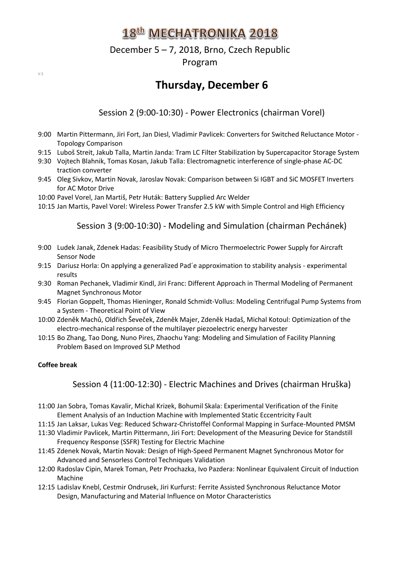## December 5 – 7, 2018, Brno, Czech Republic Program

**Thursday, December 6**

Session 2 (9:00-10:30) - Power Electronics (chairman Vorel)

- 9:00 Martin Pittermann, Jiri Fort, Jan Diesl, Vladimir Pavlicek: Converters for Switched Reluctance Motor Topology Comparison
- 9:15 Luboš Streit, Jakub Talla, Martin Janda: Tram LC Filter Stabilization by Supercapacitor Storage System
- 9:30 Vojtech Blahnik, Tomas Kosan, Jakub Talla: Electromagnetic interference of single-phase AC-DC traction converter
- 9:45 Oleg Sivkov, Martin Novak, Jaroslav Novak: Comparison between Si IGBT and SiC MOSFET Inverters for AC Motor Drive
- 10:00 Pavel Vorel, Jan Martiš, Petr Huták: Battery Supplied Arc Welder
- 10:15 Jan Martis, Pavel Vorel: Wireless Power Transfer 2.5 kW with Simple Control and High Efficiency

#### Session 3 (9:00-10:30) - Modeling and Simulation (chairman Pechánek)

- 9:00 Ludek Janak, Zdenek Hadas: Feasibility Study of Micro Thermoelectric Power Supply for Aircraft Sensor Node
- 9:15 Dariusz Horla: On applying a generalized Pad´e approximation to stability analysis experimental results
- 9:30 Roman Pechanek, Vladimir Kindl, Jiri Franc: Different Approach in Thermal Modeling of Permanent Magnet Synchronous Motor
- 9:45 Florian Goppelt, Thomas Hieninger, Ronald Schmidt-Vollus: Modeling Centrifugal Pump Systems from a System - Theoretical Point of View
- 10:00 Zdeněk Machů, Oldřich Ševeček, Zdeněk Majer, Zdeněk Hadaš, Michal Kotoul: Optimization of the electro-mechanical response of the multilayer piezoelectric energy harvester
- 10:15 Bo Zhang, Tao Dong, Nuno Pires, Zhaochu Yang: Modeling and Simulation of Facility Planning Problem Based on Improved SLP Method

#### **Coffee break**

Session 4 (11:00-12:30) - Electric Machines and Drives (chairman Hruška)

- 11:00 Jan Sobra, Tomas Kavalir, Michal Krizek, Bohumil Skala: Experimental Verification of the Finite Element Analysis of an Induction Machine with Implemented Static Eccentricity Fault
- 11:15 Jan Laksar, Lukas Veg: Reduced Schwarz-Christoffel Conformal Mapping in Surface-Mounted PMSM
- 11:30 Vladimir Pavlicek, Martin Pittermann, Jiri Fort: Development of the Measuring Device for Standstill Frequency Response (SSFR) Testing for Electric Machine
- 11:45 Zdenek Novak, Martin Novak: Design of High-Speed Permanent Magnet Synchronous Motor for Advanced and Sensorless Control Techniques Validation
- 12:00 Radoslav Cipin, Marek Toman, Petr Prochazka, Ivo Pazdera: Nonlinear Equivalent Circuit of Induction Machine
- 12:15 Ladislav Knebl, Cestmir Ondrusek, Jiri Kurfurst: Ferrite Assisted Synchronous Reluctance Motor Design, Manufacturing and Material Influence on Motor Characteristics

 $V.5$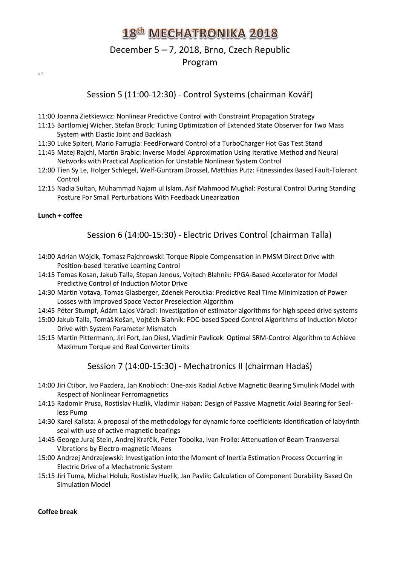## December 5 – 7, 2018, Brno, Czech Republic Program

 $V.5$ 

#### Session 5 (11:00-12:30) - Control Systems (chairman Kovář)

- 11:00 Joanna Zietkiewicz: Nonlinear Predictive Control with Constraint Propagation Strategy
- 11:15 Bartlomiej Wicher, Stefan Brock: Tuning Optimization of Extended State Observer for Two Mass System with Elastic Joint and Backlash
- 11:30 Luke Spiteri, Mario Farrugia: FeedForward Control of a TurboCharger Hot Gas Test Stand
- 11:45 Matej Rajchl, Martin Brablc: Inverse Model Approximation Using Iterative Method and Neural Networks with Practical Application for Unstable Nonlinear System Control
- 12:00 Tien Sy Le, Holger Schlegel, Welf-Guntram Drossel, Matthias Putz: Fitnessindex Based Fault-Tolerant Control
- 12:15 Nadia Sultan, Muhammad Najam ul Islam, Asif Mahmood Mughal: Postural Control During Standing Posture For Small Perturbations With Feedback Linearization

#### **Lunch + coffee**

#### Session 6 (14:00-15:30) - Electric Drives Control (chairman Talla)

- 14:00 Adrian Wójcik, Tomasz Pajchrowski: Torque Ripple Compensation in PMSM Direct Drive with Position-based Iterative Learning Control
- 14:15 Tomas Kosan, Jakub Talla, Stepan Janous, Vojtech Blahnik: FPGA-Based Accelerator for Model Predictive Control of Induction Motor Drive
- 14:30 Martin Votava, Tomas Glasberger, Zdenek Peroutka: Predictive Real Time Minimization of Power Losses with Improved Space Vector Preselection Algorithm
- 14:45 Péter Stumpf, Ádám Lajos Váradi: Investigation of estimator algorithms for high speed drive systems
- 15:00 Jakub Talla, Tomáš Košan, Vojtěch Blahník: FOC-based Speed Control Algorithms of Induction Motor Drive with System Parameter Mismatch
- 15:15 Martin Pittermann, Jiri Fort, Jan Diesl, Vladimir Pavlicek: Optimal SRM-Control Algorithm to Achieve Maximum Torque and Real Converter Limits

#### Session 7 (14:00-15:30) - Mechatronics II (chairman Hadaš)

- 14:00 Jiri Ctibor, Ivo Pazdera, Jan Knobloch: One-axis Radial Active Magnetic Bearing Simulink Model with Respect of Nonlinear Ferromagnetics
- 14:15 Radomir Prusa, Rostislav Huzlik, Vladimir Haban: Design of Passive Magnetic Axial Bearing for Sealless Pump
- 14:30 Karel Kalista: A proposal of the methodology for dynamic force coefficients identification of labyrinth seal with use of active magnetic bearings
- 14:45 George Juraj Stein, Andrej Krafčík, Peter Tobolka, Ivan Frollo: Attenuation of Beam Transversal Vibrations by Electro-magnetic Means
- 15:00 Andrzej Andrzejewski: Investigation into the Moment of Inertia Estimation Process Occurring in Electric Drive of a Mechatronic System
- 15:15 Jiri Tuma, Michal Holub, Rostislav Huzlik, Jan Pavlik: Calculation of Component Durability Based On Simulation Model

#### **Coffee break**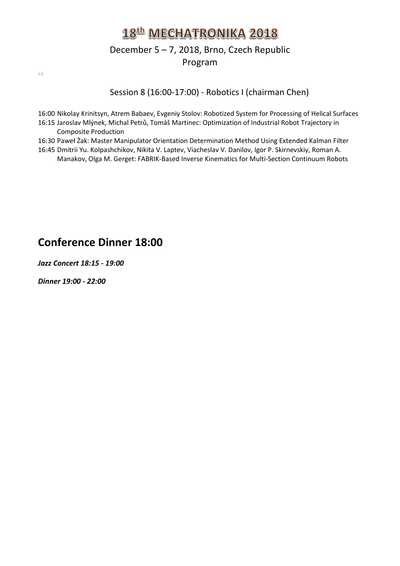## December 5 – 7, 2018, Brno, Czech Republic Program

 $V.5$ 

Session 8 (16:00-17:00) - Robotics I (chairman Chen)

- 16:00 Nikolay Krinitsyn, Atrem Babaev, Evgeniy Stolov: Robotized System for Processing of Helical Surfaces 16:15 Jaroslav Mlýnek, Michal Petrů, Tomáš Martinec: Optimization of Industrial Robot Trajectory in Composite Production
- 16:30 Paweł Żak: Master Manipulator Orientation Determination Method Using Extended Kalman Filter
- 16:45 Dmitrii Yu. Kolpashchikov, Nikita V. Laptev, Viacheslav V. Danilov, Igor P. Skirnevskiy, Roman A. Manakov, Olga M. Gerget: FABRIK-Based Inverse Kinematics for Multi-Section Continuum Robots

## **Conference Dinner 18:00**

*Jazz Concert 18:15 - 19:00*

*Dinner 19:00 - 22:00*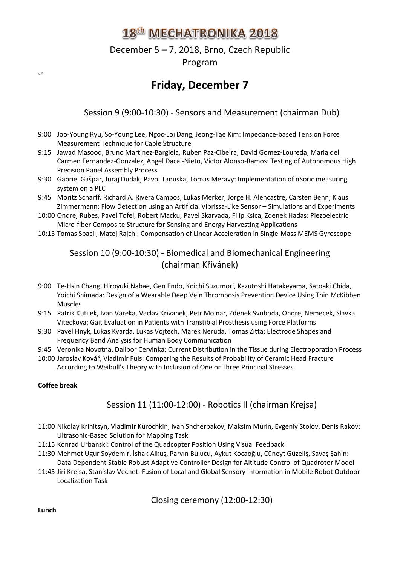## December 5 – 7, 2018, Brno, Czech Republic Program

#### Session 9 (9:00-10:30) - Sensors and Measurement (chairman Dub)

- 9:00 Joo-Young Ryu, So-Young Lee, Ngoc-Loi Dang, Jeong-Tae Kim: Impedance-based Tension Force Measurement Technique for Cable Structure
- 9:15 Jawad Masood, Bruno Martinez-Bargiela, Ruben Paz-Cibeira, David Gomez-Loureda, Maria del Carmen Fernandez-Gonzalez, Angel Dacal-Nieto, Victor Alonso-Ramos: Testing of Autonomous High Precision Panel Assembly Process
- 9:30 Gabriel Gašpar, Juraj Dudak, Pavol Tanuska, Tomas Meravy: Implementation of nSoric measuring system on a PLC
- 9:45 Moritz Scharff, Richard A. Rivera Campos, Lukas Merker, Jorge H. Alencastre, Carsten Behn, Klaus Zimmermann: Flow Detection using an Artificial Vibrissa-Like Sensor – Simulations and Experiments
- 10:00 Ondrej Rubes, Pavel Tofel, Robert Macku, Pavel Skarvada, Filip Ksica, Zdenek Hadas: Piezoelectric Micro-fiber Composite Structure for Sensing and Energy Harvesting Applications
- 10:15 Tomas Spacil, Matej Rajchl: Compensation of Linear Acceleration in Single-Mass MEMS Gyroscope

#### Session 10 (9:00-10:30) - Biomedical and Biomechanical Engineering (chairman Křivánek)

- 9:00 Te-Hsin Chang, Hiroyuki Nabae, Gen Endo, Koichi Suzumori, Kazutoshi Hatakeyama, Satoaki Chida, Yoichi Shimada: Design of a Wearable Deep Vein Thrombosis Prevention Device Using Thin McKibben Muscles
- 9:15 Patrik Kutilek, Ivan Vareka, Vaclav Krivanek, Petr Molnar, Zdenek Svoboda, Ondrej Nemecek, Slavka Viteckova: Gait Evaluation in Patients with Transtibial Prosthesis using Force Platforms
- 9:30 Pavel Hnyk, Lukas Kvarda, Lukas Vojtech, Marek Neruda, Tomas Zitta: Electrode Shapes and Frequency Band Analysis for Human Body Communication
- 9:45 Veronika Novotna, Dalibor Cervinka: Current Distribution in the Tissue during Electroporation Process
- 10:00 Jaroslav Kovář, Vladimír Fuis: Comparing the Results of Probability of Ceramic Head Fracture According to Weibull's Theory with Inclusion of One or Three Principal Stresses

#### **Coffee break**

 $V.5$ 

#### Session 11 (11:00-12:00) - Robotics II (chairman Krejsa)

- 11:00 Nikolay Krinitsyn, Vladimir Kurochkin, Ivan Shcherbakov, Maksim Murin, Evgeniy Stolov, Denis Rakov: Ultrasonic-Based Solution for Mapping Task
- 11:15 Konrad Urbanski: Control of the Quadcopter Position Using Visual Feedback
- 11:30 Mehmet Ugur Soydemir, İshak Alkuş, Parvın Bulucu, Aykut Kocaoğlu, Cüneyt Güzeliş, Savaş Şahin: Data Dependent Stable Robust Adaptive Controller Design for Altitude Control of Quadrotor Model
- 11:45 Jiri Krejsa, Stanislav Vechet: Fusion of Local and Global Sensory Information in Mobile Robot Outdoor Localization Task

Closing ceremony (12:00-12:30)

**Lunch**